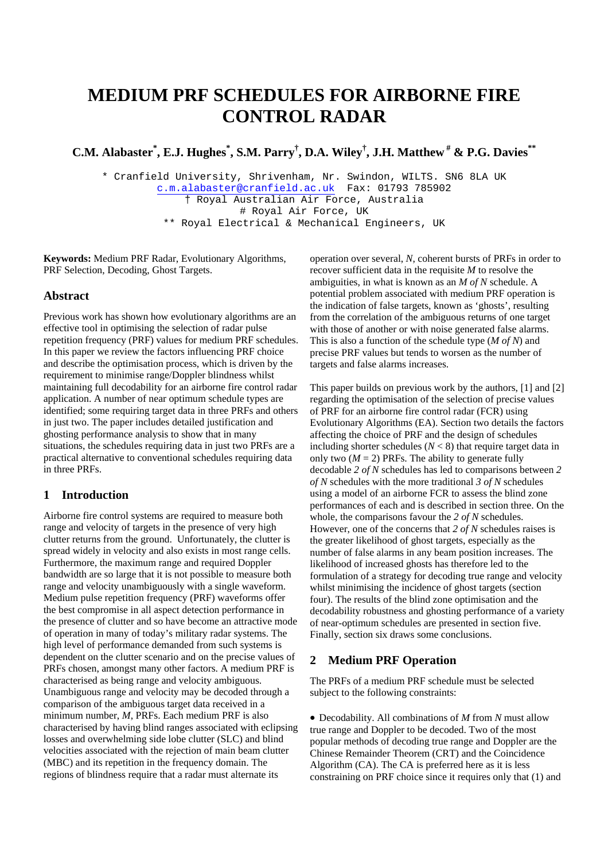# **MEDIUM PRF SCHEDULES FOR AIRBORNE FIRE CONTROL RADAR**

**C.M. Alabaster\* , E.J. Hughes\* , S.M. Parry† , D.A. Wiley† , J.H. Matthew # & P.G. Davies\*\*** 

\* Cranfield University, Shrivenham, Nr. Swindon, WILTS. SN6 8LA UK c.m.alabaster@cranfield.ac.uk Fax: 01793 785902 † Royal Australian Air Force, Australia # Royal Air Force, UK \*\* Royal Electrical & Mechanical Engineers, UK

**Keywords:** Medium PRF Radar, Evolutionary Algorithms, PRF Selection, Decoding, Ghost Targets.

## **Abstract**

Previous work has shown how evolutionary algorithms are an effective tool in optimising the selection of radar pulse repetition frequency (PRF) values for medium PRF schedules. In this paper we review the factors influencing PRF choice and describe the optimisation process, which is driven by the requirement to minimise range/Doppler blindness whilst maintaining full decodability for an airborne fire control radar application. A number of near optimum schedule types are identified; some requiring target data in three PRFs and others in just two. The paper includes detailed justification and ghosting performance analysis to show that in many situations, the schedules requiring data in just two PRFs are a practical alternative to conventional schedules requiring data in three PRFs.

## **1 Introduction**

Airborne fire control systems are required to measure both range and velocity of targets in the presence of very high clutter returns from the ground. Unfortunately, the clutter is spread widely in velocity and also exists in most range cells. Furthermore, the maximum range and required Doppler bandwidth are so large that it is not possible to measure both range and velocity unambiguously with a single waveform. Medium pulse repetition frequency (PRF) waveforms offer the best compromise in all aspect detection performance in the presence of clutter and so have become an attractive mode of operation in many of today's military radar systems. The high level of performance demanded from such systems is dependent on the clutter scenario and on the precise values of PRFs chosen, amongst many other factors. A medium PRF is characterised as being range and velocity ambiguous. Unambiguous range and velocity may be decoded through a comparison of the ambiguous target data received in a minimum number, *M*, PRFs. Each medium PRF is also characterised by having blind ranges associated with eclipsing losses and overwhelming side lobe clutter (SLC) and blind velocities associated with the rejection of main beam clutter (MBC) and its repetition in the frequency domain. The regions of blindness require that a radar must alternate its

operation over several, *N*, coherent bursts of PRFs in order to recover sufficient data in the requisite *M* to resolve the ambiguities, in what is known as an *M of N* schedule. A potential problem associated with medium PRF operation is the indication of false targets, known as 'ghosts', resulting from the correlation of the ambiguous returns of one target with those of another or with noise generated false alarms. This is also a function of the schedule type (*M of N*) and precise PRF values but tends to worsen as the number of targets and false alarms increases.

This paper builds on previous work by the authors, [1] and [2] regarding the optimisation of the selection of precise values of PRF for an airborne fire control radar (FCR) using Evolutionary Algorithms (EA). Section two details the factors affecting the choice of PRF and the design of schedules including shorter schedules  $(N < 8)$  that require target data in only two  $(M = 2)$  PRFs. The ability to generate fully decodable *2 of N* schedules has led to comparisons between *2 of N* schedules with the more traditional *3 of N* schedules using a model of an airborne FCR to assess the blind zone performances of each and is described in section three. On the whole, the comparisons favour the *2 of N* schedules. However, one of the concerns that *2 of N* schedules raises is the greater likelihood of ghost targets, especially as the number of false alarms in any beam position increases. The likelihood of increased ghosts has therefore led to the formulation of a strategy for decoding true range and velocity whilst minimising the incidence of ghost targets (section four). The results of the blind zone optimisation and the decodability robustness and ghosting performance of a variety of near-optimum schedules are presented in section five. Finally, section six draws some conclusions.

#### **2 Medium PRF Operation**

The PRFs of a medium PRF schedule must be selected subject to the following constraints:

• Decodability. All combinations of *M* from *N* must allow true range and Doppler to be decoded. Two of the most popular methods of decoding true range and Doppler are the Chinese Remainder Theorem (CRT) and the Coincidence Algorithm (CA). The CA is preferred here as it is less constraining on PRF choice since it requires only that (1) and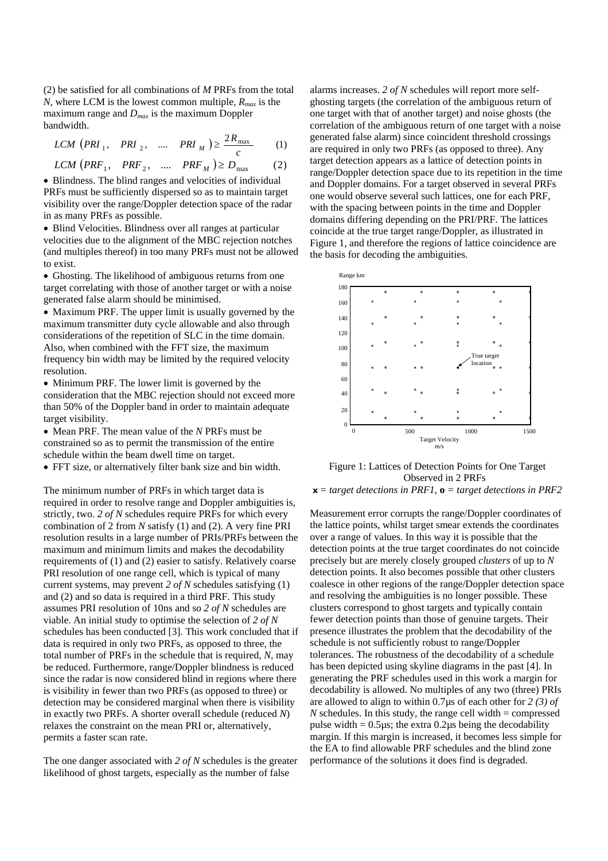(2) be satisfied for all combinations of *M* PRFs from the total *N*, where LCM is the lowest common multiple,  $R_{max}$  is the maximum range and *Dmax* is the maximum Doppler bandwidth.

$$
LCM (PRI_1, PRI_2, \dots, PRI_M) \ge \frac{2R_{\text{max}}}{c}
$$
 (1)  

$$
LCM (PRF_1, PRF_2, \dots, PRF_M) \ge D_{\text{max}}
$$
 (2)

• Blindness. The blind ranges and velocities of individual PRFs must be sufficiently dispersed so as to maintain target visibility over the range/Doppler detection space of the radar in as many PRFs as possible.

• Blind Velocities. Blindness over all ranges at particular velocities due to the alignment of the MBC rejection notches (and multiples thereof) in too many PRFs must not be allowed to exist.

• Ghosting. The likelihood of ambiguous returns from one target correlating with those of another target or with a noise generated false alarm should be minimised.

• Maximum PRF. The upper limit is usually governed by the maximum transmitter duty cycle allowable and also through considerations of the repetition of SLC in the time domain. Also, when combined with the FFT size, the maximum frequency bin width may be limited by the required velocity resolution.

• Minimum PRF. The lower limit is governed by the consideration that the MBC rejection should not exceed more than 50% of the Doppler band in order to maintain adequate target visibility.

• Mean PRF. The mean value of the *N* PRFs must be constrained so as to permit the transmission of the entire schedule within the beam dwell time on target.

• FFT size, or alternatively filter bank size and bin width.

The minimum number of PRFs in which target data is required in order to resolve range and Doppler ambiguities is, strictly, two. *2 of N* schedules require PRFs for which every combination of 2 from *N* satisfy (1) and (2). A very fine PRI resolution results in a large number of PRIs/PRFs between the maximum and minimum limits and makes the decodability requirements of (1) and (2) easier to satisfy. Relatively coarse PRI resolution of one range cell, which is typical of many current systems, may prevent *2 of N* schedules satisfying (1) and (2) and so data is required in a third PRF. This study assumes PRI resolution of 10ns and so *2 of N* schedules are viable. An initial study to optimise the selection of *2 of N* schedules has been conducted [3]. This work concluded that if data is required in only two PRFs, as opposed to three, the total number of PRFs in the schedule that is required, *N*, may be reduced. Furthermore, range/Doppler blindness is reduced since the radar is now considered blind in regions where there is visibility in fewer than two PRFs (as opposed to three) or detection may be considered marginal when there is visibility in exactly two PRFs. A shorter overall schedule (reduced *N*) relaxes the constraint on the mean PRI or, alternatively, permits a faster scan rate.

The one danger associated with *2 of N* schedules is the greater likelihood of ghost targets, especially as the number of false

alarms increases. *2 of N* schedules will report more selfghosting targets (the correlation of the ambiguous return of one target with that of another target) and noise ghosts (the correlation of the ambiguous return of one target with a noise generated false alarm) since coincident threshold crossings are required in only two PRFs (as opposed to three). Any target detection appears as a lattice of detection points in range/Doppler detection space due to its repetition in the time and Doppler domains. For a target observed in several PRFs one would observe several such lattices, one for each PRF, with the spacing between points in the time and Doppler domains differing depending on the PRI/PRF. The lattices coincide at the true target range/Doppler, as illustrated in Figure 1, and therefore the regions of lattice coincidence are the basis for decoding the ambiguities.



Figure 1: Lattices of Detection Points for One Target Observed in 2 PRFs **x** *= target detections in PRF1*, **o** *= target detections in PRF2*

Measurement error corrupts the range/Doppler coordinates of the lattice points, whilst target smear extends the coordinates over a range of values. In this way it is possible that the detection points at the true target coordinates do not coincide precisely but are merely closely grouped *clusters* of up to *N* detection points. It also becomes possible that other clusters coalesce in other regions of the range/Doppler detection space and resolving the ambiguities is no longer possible. These clusters correspond to ghost targets and typically contain fewer detection points than those of genuine targets. Their presence illustrates the problem that the decodability of the schedule is not sufficiently robust to range/Doppler tolerances. The robustness of the decodability of a schedule has been depicted using skyline diagrams in the past [4]. In generating the PRF schedules used in this work a margin for decodability is allowed. No multiples of any two (three) PRIs are allowed to align to within 0.7µs of each other for *2 (3) of N* schedules. In this study, the range cell width  $=$  compressed pulse width  $= 0.5 \mu s$ ; the extra 0.2 $\mu s$  being the decodability margin. If this margin is increased, it becomes less simple for the EA to find allowable PRF schedules and the blind zone performance of the solutions it does find is degraded.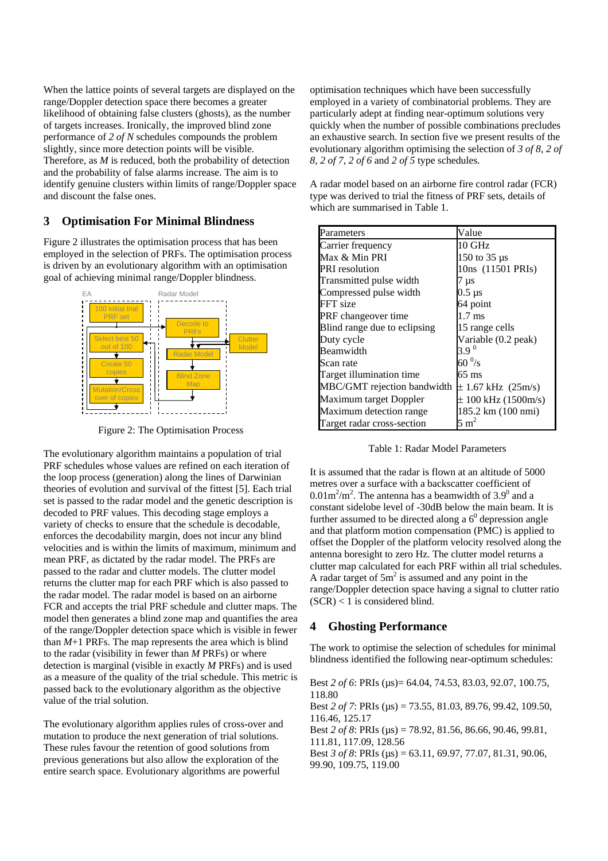When the lattice points of several targets are displayed on the range/Doppler detection space there becomes a greater likelihood of obtaining false clusters (ghosts), as the number of targets increases. Ironically, the improved blind zone performance of *2 of N* schedules compounds the problem slightly, since more detection points will be visible. Therefore, as *M* is reduced, both the probability of detection and the probability of false alarms increase. The aim is to identify genuine clusters within limits of range/Doppler space and discount the false ones.

# **3 Optimisation For Minimal Blindness**

Figure 2 illustrates the optimisation process that has been employed in the selection of PRFs. The optimisation process is driven by an evolutionary algorithm with an optimisation goal of achieving minimal range/Doppler blindness.



Figure 2: The Optimisation Process

The evolutionary algorithm maintains a population of trial PRF schedules whose values are refined on each iteration of the loop process (generation) along the lines of Darwinian theories of evolution and survival of the fittest [5]. Each trial set is passed to the radar model and the genetic description is decoded to PRF values. This decoding stage employs a variety of checks to ensure that the schedule is decodable, enforces the decodability margin, does not incur any blind velocities and is within the limits of maximum, minimum and mean PRF, as dictated by the radar model. The PRFs are passed to the radar and clutter models. The clutter model returns the clutter map for each PRF which is also passed to the radar model. The radar model is based on an airborne FCR and accepts the trial PRF schedule and clutter maps. The model then generates a blind zone map and quantifies the area of the range/Doppler detection space which is visible in fewer than  $M+1$  PRFs. The map represents the area which is blind to the radar (visibility in fewer than *M* PRFs) or where detection is marginal (visible in exactly *M* PRFs) and is used as a measure of the quality of the trial schedule. This metric is passed back to the evolutionary algorithm as the objective value of the trial solution.

The evolutionary algorithm applies rules of cross-over and mutation to produce the next generation of trial solutions. These rules favour the retention of good solutions from previous generations but also allow the exploration of the entire search space. Evolutionary algorithms are powerful

optimisation techniques which have been successfully employed in a variety of combinatorial problems. They are particularly adept at finding near-optimum solutions very quickly when the number of possible combinations precludes an exhaustive search. In section five we present results of the evolutionary algorithm optimising the selection of *3 of 8, 2 of 8, 2 of 7, 2 of 6* and *2 of 5* type schedules.

A radar model based on an airborne fire control radar (FCR) type was derived to trial the fitness of PRF sets, details of which are summarised in Table 1.

| Parameters                   | Value                   |
|------------------------------|-------------------------|
| Carrier frequency            | $10$ GHz                |
| Max & Min PRI                | 150 to $35 \mu s$       |
| <b>PRI</b> resolution        | 10ns (11501 PRIs)       |
| Transmitted pulse width      | 7 µs                    |
| Compressed pulse width       | 0.5 µs                  |
| FFT size                     | 64 point                |
| PRF changeover time          | $1.7 \text{ ms}$        |
| Blind range due to eclipsing | 15 range cells          |
| Duty cycle                   | Variable (0.2 peak)     |
| Beamwidth                    | 3.9 <sup>0</sup>        |
| Scan rate                    | 60 $\mathrm{^{0}/s}$    |
| Target illumination time     | 65 ms                   |
| MBC/GMT rejection bandwidth  | $\pm$ 1.67 kHz (25m/s)  |
| Maximum target Doppler       | $\pm$ 100 kHz (1500m/s) |
| Maximum detection range      | 185.2 km (100 nmi)      |
| Target radar cross-section   | $5 \text{ m}^2$         |

Table 1: Radar Model Parameters

It is assumed that the radar is flown at an altitude of 5000 metres over a surface with a backscatter coefficient of  $0.01 \text{m}^2/\text{m}^2$ . The antenna has a beamwidth of 3.9<sup>0</sup> and a constant sidelobe level of -30dB below the main beam. It is further assumed to be directed along a  $6^0$  depression angle and that platform motion compensation (PMC) is applied to offset the Doppler of the platform velocity resolved along the antenna boresight to zero Hz. The clutter model returns a clutter map calculated for each PRF within all trial schedules. A radar target of  $5m^2$  is assumed and any point in the range/Doppler detection space having a signal to clutter ratio  $(SCR) < 1$  is considered blind.

# **4 Ghosting Performance**

The work to optimise the selection of schedules for minimal blindness identified the following near-optimum schedules:

Best *2 of 6*: PRIs (µs)= 64.04, 74.53, 83.03, 92.07, 100.75, 118.80

Best *2 of 7*: PRIs (µs) = 73.55, 81.03, 89.76, 99.42, 109.50, 116.46, 125.17

Best *2 of 8*: PRIs (µs) = 78.92, 81.56, 86.66, 90.46, 99.81, 111.81, 117.09, 128.56

Best *3 of 8*: PRIs (µs) = 63.11, 69.97, 77.07, 81.31, 90.06, 99.90, 109.75, 119.00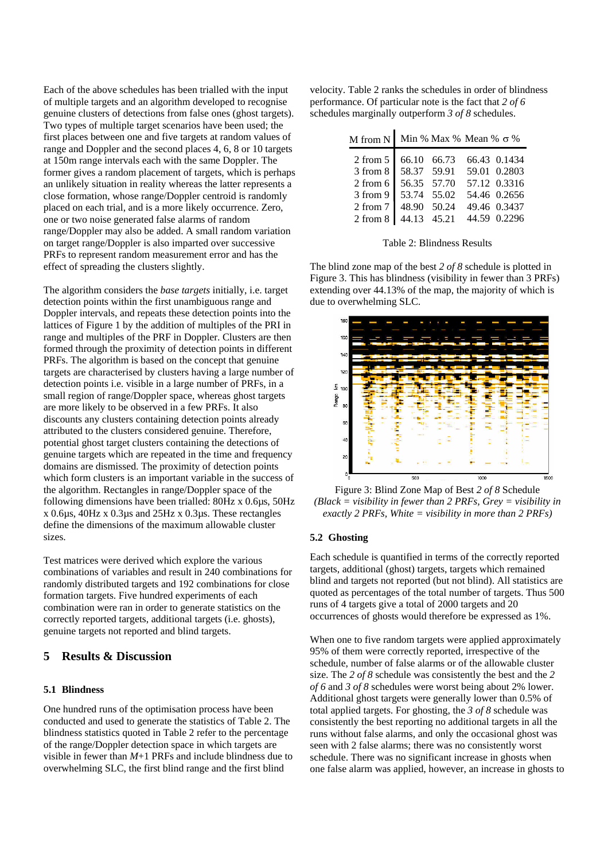Each of the above schedules has been trialled with the input of multiple targets and an algorithm developed to recognise genuine clusters of detections from false ones (ghost targets). Two types of multiple target scenarios have been used; the first places between one and five targets at random values of range and Doppler and the second places 4, 6, 8 or 10 targets at 150m range intervals each with the same Doppler. The former gives a random placement of targets, which is perhaps an unlikely situation in reality whereas the latter represents a close formation, whose range/Doppler centroid is randomly placed on each trial, and is a more likely occurrence. Zero, one or two noise generated false alarms of random range/Doppler may also be added. A small random variation on target range/Doppler is also imparted over successive PRFs to represent random measurement error and has the effect of spreading the clusters slightly.

The algorithm considers the *base targets* initially, i.e. target detection points within the first unambiguous range and Doppler intervals, and repeats these detection points into the lattices of Figure 1 by the addition of multiples of the PRI in range and multiples of the PRF in Doppler. Clusters are then formed through the proximity of detection points in different PRFs. The algorithm is based on the concept that genuine targets are characterised by clusters having a large number of detection points i.e. visible in a large number of PRFs, in a small region of range/Doppler space, whereas ghost targets are more likely to be observed in a few PRFs. It also discounts any clusters containing detection points already attributed to the clusters considered genuine. Therefore, potential ghost target clusters containing the detections of genuine targets which are repeated in the time and frequency domains are dismissed. The proximity of detection points which form clusters is an important variable in the success of the algorithm. Rectangles in range/Doppler space of the following dimensions have been trialled: 80Hz x 0.6µs, 50Hz x 0.6µs, 40Hz x 0.3µs and 25Hz x 0.3µs. These rectangles define the dimensions of the maximum allowable cluster sizes.

Test matrices were derived which explore the various combinations of variables and result in 240 combinations for randomly distributed targets and 192 combinations for close formation targets. Five hundred experiments of each combination were ran in order to generate statistics on the correctly reported targets, additional targets (i.e. ghosts), genuine targets not reported and blind targets.

# **5 Results & Discussion**

### **5.1 Blindness**

One hundred runs of the optimisation process have been conducted and used to generate the statistics of Table 2. The blindness statistics quoted in Table 2 refer to the percentage of the range/Doppler detection space in which targets are visible in fewer than *M*+1 PRFs and include blindness due to overwhelming SLC, the first blind range and the first blind

velocity. Table 2 ranks the schedules in order of blindness performance. Of particular note is the fact that *2 of 6* schedules marginally outperform *3 of 8* schedules.

| M from N   Min % Max % Mean % $\sigma$ % |             |  |              |
|------------------------------------------|-------------|--|--------------|
| 2 from 5   66.10 66.73                   |             |  | 66.43 0.1434 |
| 3 from 8 58.37 59.91 59.01 0.2803        |             |  |              |
| 2 from 6 56.35 57.70                     |             |  | 57.12 0.3316 |
| 3 from 9 53.74 55.02                     |             |  | 54.46 0.2656 |
| 2 from 7   48.90 50.24                   |             |  | 49.46 0.3437 |
| 2 from 8                                 | 44.13 45.21 |  | 44.59 0.2296 |

Table 2: Blindness Results

The blind zone map of the best *2 of 8* schedule is plotted in Figure 3. This has blindness (visibility in fewer than 3 PRFs) extending over 44.13% of the map, the majority of which is due to overwhelming SLC.



Figure 3: Blind Zone Map of Best *2 of 8* Schedule *(Black = visibility in fewer than 2 PRFs, Grey = visibility in exactly 2 PRFs, White = visibility in more than 2 PRFs)* 

### **5.2 Ghosting**

Each schedule is quantified in terms of the correctly reported targets, additional (ghost) targets, targets which remained blind and targets not reported (but not blind). All statistics are quoted as percentages of the total number of targets. Thus 500 runs of 4 targets give a total of 2000 targets and 20 occurrences of ghosts would therefore be expressed as 1%.

When one to five random targets were applied approximately 95% of them were correctly reported, irrespective of the schedule, number of false alarms or of the allowable cluster size. The *2 of 8* schedule was consistently the best and the *2 of 6* and *3 of 8* schedules were worst being about 2% lower. Additional ghost targets were generally lower than 0.5% of total applied targets. For ghosting, the *3 of 8* schedule was consistently the best reporting no additional targets in all the runs without false alarms, and only the occasional ghost was seen with 2 false alarms; there was no consistently worst schedule. There was no significant increase in ghosts when one false alarm was applied, however, an increase in ghosts to